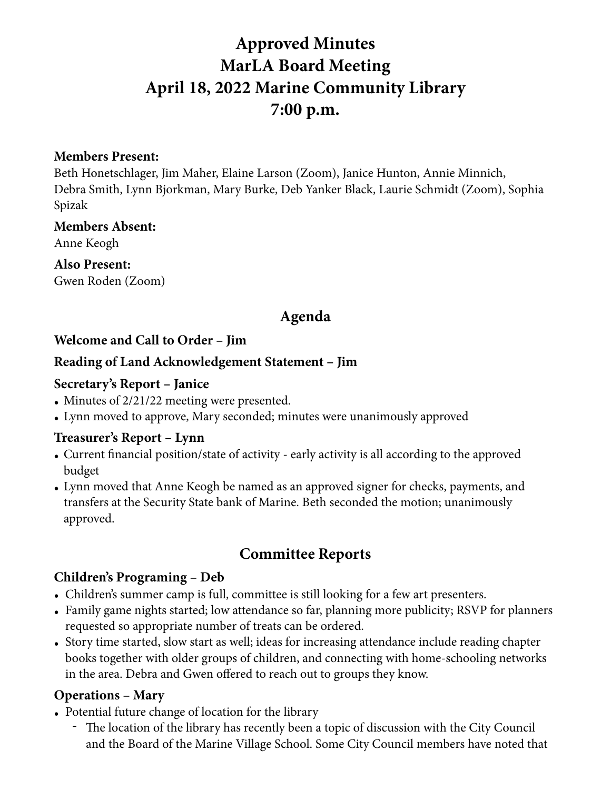# **Approved Minutes MarLA Board Meeting April 18, 2022 Marine Community Library 7:00 p.m.**

#### **Members Present:**

Beth Honetschlager, Jim Maher, Elaine Larson (Zoom), Janice Hunton, Annie Minnich, Debra Smith, Lynn Bjorkman, Mary Burke, Deb Yanker Black, Laurie Schmidt (Zoom), Sophia Spizak

#### **Members Absent:**

Anne Keogh

**Also Present:** 

Gwen Roden (Zoom)

# **Agenda**

#### **Welcome and Call to Order – Jim**

#### **Reading of Land Acknowledgement Statement – Jim**

#### **Secretary's Report – Janice**

- Minutes of 2/21/22 meeting were presented.
- Lynn moved to approve, Mary seconded; minutes were unanimously approved

#### **Treasurer's Report – Lynn**

- Current financial position/state of activity early activity is all according to the approved budget
- Lynn moved that Anne Keogh be named as an approved signer for checks, payments, and transfers at the Security State bank of Marine. Beth seconded the motion; unanimously approved.

# **Committee Reports**

#### **Children's Programing – Deb**

- Children's summer camp is full, committee is still looking for a few art presenters.
- Family game nights started; low attendance so far, planning more publicity; RSVP for planners requested so appropriate number of treats can be ordered.
- Story time started, slow start as well; ideas for increasing attendance include reading chapter books together with older groups of children, and connecting with home-schooling networks in the area. Debra and Gwen offered to reach out to groups they know.

# **Operations – Mary**

- Potential future change of location for the library
	- The location of the library has recently been a topic of discussion with the City Council and the Board of the Marine Village School. Some City Council members have noted that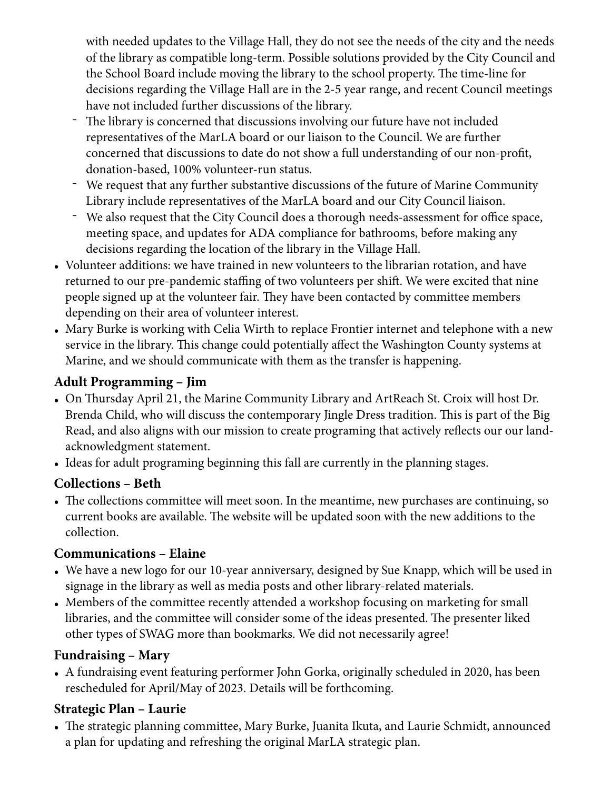with needed updates to the Village Hall, they do not see the needs of the city and the needs of the library as compatible long-term. Possible solutions provided by the City Council and the School Board include moving the library to the school property. The time-line for decisions regarding the Village Hall are in the 2-5 year range, and recent Council meetings have not included further discussions of the library.

- The library is concerned that discussions involving our future have not included representatives of the MarLA board or our liaison to the Council. We are further concerned that discussions to date do not show a full understanding of our non-profit, donation-based, 100% volunteer-run status.
- We request that any further substantive discussions of the future of Marine Community Library include representatives of the MarLA board and our City Council liaison.
- We also request that the City Council does a thorough needs-assessment for office space, meeting space, and updates for ADA compliance for bathrooms, before making any decisions regarding the location of the library in the Village Hall.
- Volunteer additions: we have trained in new volunteers to the librarian rotation, and have returned to our pre-pandemic staffing of two volunteers per shift. We were excited that nine people signed up at the volunteer fair. They have been contacted by committee members depending on their area of volunteer interest.
- Mary Burke is working with Celia Wirth to replace Frontier internet and telephone with a new service in the library. This change could potentially affect the Washington County systems at Marine, and we should communicate with them as the transfer is happening.

# **Adult Programming – Jim**

- On Thursday April 21, the Marine Community Library and ArtReach St. Croix will host Dr. Brenda Child, who will discuss the contemporary Jingle Dress tradition. This is part of the Big Read, and also aligns with our mission to create programing that actively reflects our our landacknowledgment statement.
- Ideas for adult programing beginning this fall are currently in the planning stages.

# **Collections – Beth**

• The collections committee will meet soon. In the meantime, new purchases are continuing, so current books are available. The website will be updated soon with the new additions to the collection.

# **Communications – Elaine**

- We have a new logo for our 10-year anniversary, designed by Sue Knapp, which will be used in signage in the library as well as media posts and other library-related materials.
- Members of the committee recently attended a workshop focusing on marketing for small libraries, and the committee will consider some of the ideas presented. The presenter liked other types of SWAG more than bookmarks. We did not necessarily agree!

# **Fundraising – Mary**

• A fundraising event featuring performer John Gorka, originally scheduled in 2020, has been rescheduled for April/May of 2023. Details will be forthcoming.

# **Strategic Plan – Laurie**

• The strategic planning committee, Mary Burke, Juanita Ikuta, and Laurie Schmidt, announced a plan for updating and refreshing the original MarLA strategic plan.